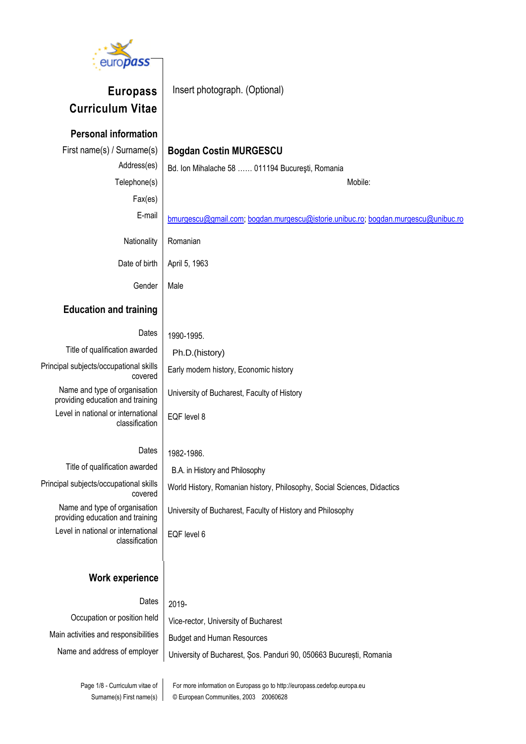

**Europass Curriculum Vitae**

Insert photograph. (Optional)

# **Personal information** First name(s) / Surname(s) | **Bogdan Costin MURGESCU** Address(es) | Bd. Ion Mihalache 58 ...... 011194 București, Romania Telephone(s) Mobile: Fax(es) E-mail [bmurgescu@gmail.com;](mailto:bmurgescu@hotmail.com) [bogdan.murgescu@istorie.unibuc.ro;](mailto:bogdan.murgescu@istorie.unibuc.ro) [bogdan.murgescu@unibuc.ro](mailto:bogdan.murgescu@unibuc.ro) Nationality | Romanian Date of birth | April 5, 1963 Gender | Male **Education and training** Dates |  $1990-1995$ . Title of qualification awarded Ph.D.(history) Principal subjects/occupational skills covered Early modern history, Economic history Name and type of organisation providing education and training University of Bucharest, Faculty of History Level in national or international classification EQF level 8 Dates |  $1982-1986$ . Title of qualification awarded B.A. in History and Philosophy Principal subjects/occupational skills covered World History, Romanian history, Philosophy, Social Sciences, Didactics Name and type of organisation providing education and training University of Bucharest, Faculty of History and Philosophy Level in national or international classification EQF level 6 **Work experience** Dates  $\vert$  2019-Occupation or position held | Vice-rector, University of Bucharest

Main activities and responsibilities  $B$  Budget and Human Resources

Name and address of employer | University of Bucharest, Sos. Panduri 90, 050663 București, Romania

Page 1/8 - Curriculum vitae of Surname(s) First name(s) For more information on Europass go to http://europass.cedefop.europa.eu © European Communities, 2003 20060628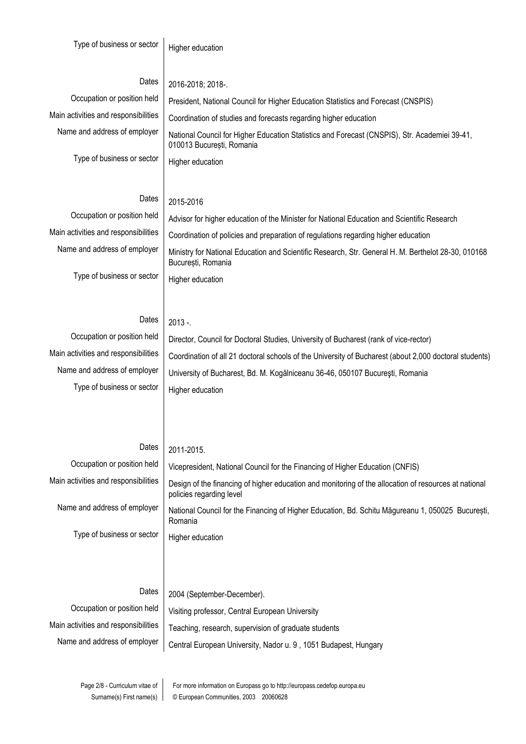Type of business or sector  $\vert$  Higher education

## Dates  $\vert$  2016-2018; 2018-.

Occupation or position held | President, National Council for Higher Education Statistics and Forecast (CNSPIS)

Type of business or sector  $\vert$  Higher education

Main activities and responsibilities  $\vert$  Coordination of studies and forecasts regarding higher education Name and address of employer | National Council for Higher Education Statistics and Forecast (CNSPIS), Str. Academiei 39-41, 010013 București, Romania

# Dates  $2015 - 2016$

Occupation or position held | Advisor for higher education of the Minister for National Education and Scientific Research Main activities and responsibilities  $\vert$  Coordination of policies and preparation of regulations regarding higher education Name and address of employer | Ministry for National Education and Scientific Research, Str. General H. M. Berthelot 28-30, 010168 București, Romania Type of business or sector  $\vert$  Higher education

## Dates  $\frac{1}{2013}$  -.

Type of business or sector  $\vert$  Higher education

Occupation or position held | Director, Council for Doctoral Studies, University of Bucharest (rank of vice-rector) Main activities and responsibilities | Coordination of all 21 doctoral schools of the University of Bucharest (about 2,000 doctoral students) Name and address of employer | University of Bucharest, Bd. M. Kogălniceanu 36-46, 050107 București, Romania

## Dates  $2011 - 2015$ .

| Occupation or position held          | Vicepresident, National Council for the Financing of Higher Education (CNFIS)                                                     |
|--------------------------------------|-----------------------------------------------------------------------------------------------------------------------------------|
| Main activities and responsibilities | Design of the financing of higher education and monitoring of the allocation of resources at national<br>policies regarding level |
| Name and address of employer         | National Council for the Financing of Higher Education, Bd. Schitu Măgureanu 1, 050025 București,<br>Romania                      |
| Type of business or sector           | Higher education                                                                                                                  |
|                                      |                                                                                                                                   |
|                                      |                                                                                                                                   |
| Dates                                | 2004 (September-December).                                                                                                        |
| Occupation or position held          | Visiting professor, Central European University                                                                                   |

Main activities and responsibilities  $\vert$  Teaching, research, supervision of graduate students Name and address of employer | Central European University, Nador u. 9, 1051 Budapest, Hungary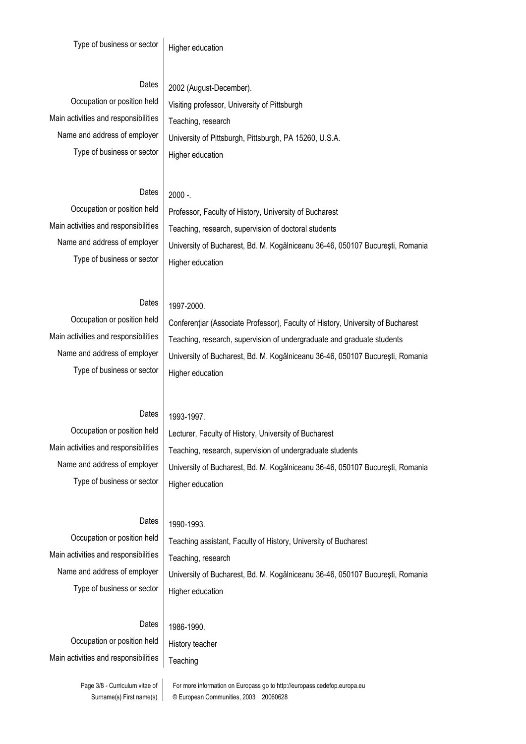## Dates | 2002 (August-December).

Main activities and responsibilities | Teaching, research Type of business or sector  $\vert$  Higher education

Occupation or position held | Visiting professor, University of Pittsburgh Name and address of employer | University of Pittsburgh, Pittsburgh, PA 15260, U.S.A.

## Dates  $\vert$  2000 -.

Type of business or sector  $\vert$  Higher education

Occupation or position held | Professor, Faculty of History, University of Bucharest Main activities and responsibilities  $\vert$  Teaching, research, supervision of doctoral students Name and address of employer | University of Bucharest, Bd. M. Kogălniceanu 36-46, 050107 București, Romania

## Dates |  $1997-2000$ .

Type of business or sector  $\vert$  Higher education

Occupation or position held | Conferențiar (Associate Professor), Faculty of History, University of Bucharest Main activities and responsibilities  $\vert$  Teaching, research, supervision of undergraduate and graduate students Name and address of employer | University of Bucharest, Bd. M. Kogălniceanu 36-46, 050107 București, Romania

## Dates |  $1993-1997$ .

Type of business or sector  $\vert$  Higher education

Occupation or position held | Lecturer, Faculty of History, University of Bucharest Main activities and responsibilities  $\vert$  Teaching, research, supervision of undergraduate students Name and address of employer | University of Bucharest, Bd. M. Kogălniceanu 36-46, 050107 București, Romania

### Dates |  $1990-1993$ .

Main activities and responsibilities  $\vert$  Teaching, research Type of business or sector  $\vert$  Higher education

Occupation or position held | Teaching assistant, Faculty of History, University of Bucharest Name and address of employer | University of Bucharest, Bd. M. Kogălniceanu 36-46, 050107 București, Romania

#### Dates |  $1986-1990$ .

Occupation or position held | History teacher Main activities and responsibilities  $|$  Teaching

Page 3/8 - Curriculum vitae of Surname(s) First name(s)

For more information on Europass go to http://europass.cedefop.europa.eu © European Communities, 2003 20060628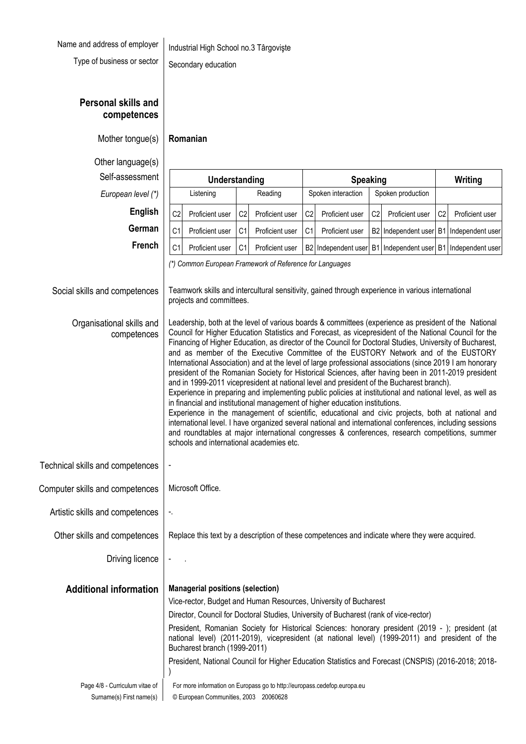| Name and address of employer $\ $ In |  |
|--------------------------------------|--|
|--------------------------------------|--|

Type of business or sector  $\Big|$  Secondary education

dustrial High School no.3 Târgovişte

**Personal skills and competences**

Other language(s)

 $Self-assessment$ *European level (\*)* 

Social skills and competences

Technical skills and competences

Computer skills and competences

Artistic skills and competences

Other skills and competences

Organisational skills and

competences

| guage(s)<br>essment               | Understanding                                                                                                                                                                                                                                                                                                                                                                                                                                                                                                                                                                                                                                                                                                                                                                                                                                                                                                                                                                                                                                                                                                                                                                                                                                                                                                                                                                                                              |                |                 | <b>Speaking</b> |                     |                |                                          | Writing        |                  |  |  |
|-----------------------------------|----------------------------------------------------------------------------------------------------------------------------------------------------------------------------------------------------------------------------------------------------------------------------------------------------------------------------------------------------------------------------------------------------------------------------------------------------------------------------------------------------------------------------------------------------------------------------------------------------------------------------------------------------------------------------------------------------------------------------------------------------------------------------------------------------------------------------------------------------------------------------------------------------------------------------------------------------------------------------------------------------------------------------------------------------------------------------------------------------------------------------------------------------------------------------------------------------------------------------------------------------------------------------------------------------------------------------------------------------------------------------------------------------------------------------|----------------|-----------------|-----------------|---------------------|----------------|------------------------------------------|----------------|------------------|--|--|
| n level (*)                       | Listening                                                                                                                                                                                                                                                                                                                                                                                                                                                                                                                                                                                                                                                                                                                                                                                                                                                                                                                                                                                                                                                                                                                                                                                                                                                                                                                                                                                                                  | Reading        |                 |                 | Spoken interaction  |                | Spoken production                        |                |                  |  |  |
| <b>English</b><br>C <sub>2</sub>  | Proficient user                                                                                                                                                                                                                                                                                                                                                                                                                                                                                                                                                                                                                                                                                                                                                                                                                                                                                                                                                                                                                                                                                                                                                                                                                                                                                                                                                                                                            | C <sub>2</sub> | Proficient user | C <sub>2</sub>  | Proficient user     | C <sub>2</sub> | Proficient user                          | C <sub>2</sub> | Proficient user  |  |  |
| German<br>C <sub>1</sub>          | Proficient user                                                                                                                                                                                                                                                                                                                                                                                                                                                                                                                                                                                                                                                                                                                                                                                                                                                                                                                                                                                                                                                                                                                                                                                                                                                                                                                                                                                                            | C <sub>1</sub> | Proficient user | C <sub>1</sub>  | Proficient user     | B2             | Independent user                         | B1             | Independent user |  |  |
| French<br>C <sub>1</sub>          | Proficient user                                                                                                                                                                                                                                                                                                                                                                                                                                                                                                                                                                                                                                                                                                                                                                                                                                                                                                                                                                                                                                                                                                                                                                                                                                                                                                                                                                                                            | C <sub>1</sub> | Proficient user |                 | B2 Independent user | B1             | Independent user   B1   Independent user |                |                  |  |  |
| betences<br>kills and<br>betences | Teamwork skills and intercultural sensitivity, gained through experience in various international<br>projects and committees.<br>Leadership, both at the level of various boards & committees (experience as president of the National<br>Council for Higher Education Statistics and Forecast, as vicepresident of the National Council for the<br>Financing of Higher Education, as director of the Council for Doctoral Studies, University of Bucharest,<br>and as member of the Executive Committee of the EUSTORY Network and of the EUSTORY<br>International Association) and at the level of large professional associations (since 2019 I am honorary<br>president of the Romanian Society for Historical Sciences, after having been in 2011-2019 president<br>and in 1999-2011 vicepresident at national level and president of the Bucharest branch).<br>Experience in preparing and implementing public policies at institutional and national level, as well as<br>in financial and institutional management of higher education institutions.<br>Experience in the management of scientific, educational and civic projects, both at national and<br>international level. I have organized several national and international conferences, including sessions<br>and roundtables at major international congresses & conferences, research competitions, summer<br>schools and international academies etc. |                |                 |                 |                     |                |                                          |                |                  |  |  |
| betences                          |                                                                                                                                                                                                                                                                                                                                                                                                                                                                                                                                                                                                                                                                                                                                                                                                                                                                                                                                                                                                                                                                                                                                                                                                                                                                                                                                                                                                                            |                |                 |                 |                     |                |                                          |                |                  |  |  |
| betences                          | Microsoft Office.                                                                                                                                                                                                                                                                                                                                                                                                                                                                                                                                                                                                                                                                                                                                                                                                                                                                                                                                                                                                                                                                                                                                                                                                                                                                                                                                                                                                          |                |                 |                 |                     |                |                                          |                |                  |  |  |
| betences<br>٠.                    |                                                                                                                                                                                                                                                                                                                                                                                                                                                                                                                                                                                                                                                                                                                                                                                                                                                                                                                                                                                                                                                                                                                                                                                                                                                                                                                                                                                                                            |                |                 |                 |                     |                |                                          |                |                  |  |  |
| betences                          | Replace this text by a description of these competences and indicate where they were acquired.                                                                                                                                                                                                                                                                                                                                                                                                                                                                                                                                                                                                                                                                                                                                                                                                                                                                                                                                                                                                                                                                                                                                                                                                                                                                                                                             |                |                 |                 |                     |                |                                          |                |                  |  |  |
|                                   |                                                                                                                                                                                                                                                                                                                                                                                                                                                                                                                                                                                                                                                                                                                                                                                                                                                                                                                                                                                                                                                                                                                                                                                                                                                                                                                                                                                                                            |                |                 |                 |                     |                |                                          |                |                  |  |  |

Driving licence

**Additional information Managerial positions (selection)**

Vice-rector, Budget and Human Resources, University of Bucharest

Director, Council for Doctoral Studies, University of Bucharest (rank of vice-rector)

President, Romanian Society for Historical Sciences: honorary president (2019 - ); president (at national level) (2011-2019), vicepresident (at national level) (1999-2011) and president of the Bucharest branch (1999-2011)

President, National Council for Higher Education Statistics and Forecast (CNSPIS) (2016-2018; 2018- )

#### Page 4/8 - Curriculum vitae of Surname(s) First name(s) For more information on Europass go to http://europass.cedefop.europa.eu © European Communities, 2003 20060628

Mother tongue(s) **Romanian**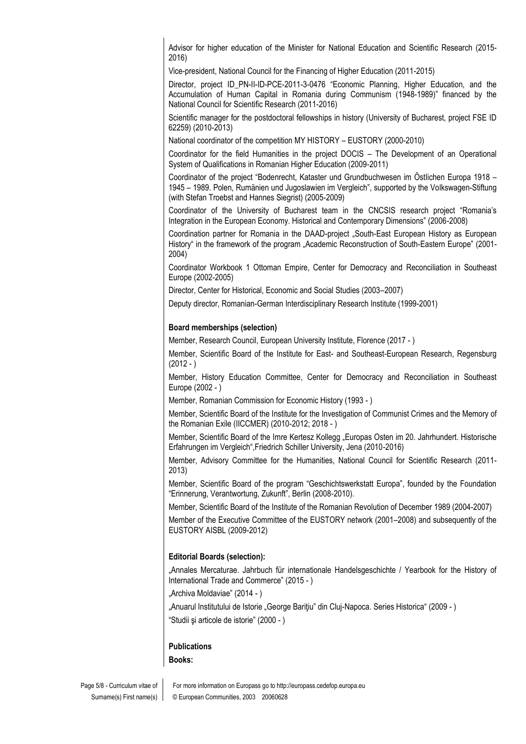Advisor for higher education of the Minister for National Education and Scientific Research (2015- 2016)

Vice-president, National Council for the Financing of Higher Education (2011-2015)

Director, project ID\_PN-II-ID-PCE-2011-3-0476 "Economic Planning, Higher Education, and the Accumulation of Human Capital in Romania during Communism (1948-1989)" financed by the National Council for Scientific Research (2011-2016)

Scientific manager for the postdoctoral fellowships in history (University of Bucharest, project FSE ID 62259) (2010-2013)

National coordinator of the competition MY HISTORY – EUSTORY (2000-2010)

Coordinator for the field Humanities in the project DOCIS – The Development of an Operational System of Qualifications in Romanian Higher Education (2009-2011)

Coordinator of the project "Bodenrecht, Kataster und Grundbuchwesen im Östlichen Europa 1918 – 1945 – 1989. Polen, Rumänien und Jugoslawien im Vergleich", supported by the Volkswagen-Stiftung (with Stefan Troebst and Hannes Siegrist) (2005-2009)

Coordinator of the University of Bucharest team in the CNCSIS research project "Romania's Integration in the European Economy. Historical and Contemporary Dimensions" (2006-2008)

Coordination partner for Romania in the DAAD-project "South-East European History as European History" in the framework of the program "Academic Reconstruction of South-Eastern Europe" (2001-2004)

Coordinator Workbook 1 Ottoman Empire, Center for Democracy and Reconciliation in Southeast Europe (2002-2005)

Director, Center for Historical, Economic and Social Studies (2003–2007)

Deputy director, Romanian-German Interdisciplinary Research Institute (1999-2001)

#### **Board memberships (selection)**

Member, Research Council, European University Institute, Florence (2017 - )

Member, Scientific Board of the Institute for East- and Southeast-European Research, Regensburg  $(2012 - )$ 

Member, History Education Committee, Center for Democracy and Reconciliation in Southeast Europe (2002 - )

Member, Romanian Commission for Economic History (1993 - )

Member, Scientific Board of the Institute for the Investigation of Communist Crimes and the Memory of the Romanian Exile (IICCMER) (2010-2012; 2018 - )

Member, Scientific Board of the Imre Kertesz Kollegg "Europas Osten im 20. Jahrhundert. Historische Erfahrungen im Vergleich",Friedrich Schiller University, Jena (2010-2016)

Member, Advisory Committee for the Humanities, National Council for Scientific Research (2011- 2013)

Member, Scientific Board of the program "Geschichtswerkstatt Europa", founded by the Foundation "Erinnerung, Verantwortung, Zukunft", Berlin (2008-2010).

Member, Scientific Board of the Institute of the Romanian Revolution of December 1989 (2004-2007)

Member of the Executive Committee of the EUSTORY network (2001–2008) and subsequently of the EUSTORY AISBL (2009-2012)

#### **Editorial Boards (selection):**

"Annales Mercaturae. Jahrbuch für internationale Handelsgeschichte / Yearbook for the History of International Trade and Commerce" (2015 - )

"Archiva Moldaviae" (2014 - )

"Anuarul Institutului de Istorie "George Barițiu" din Clui-Napoca. Series Historica" (2009 - ) "Studii şi articole de istorie" (2000 - )

#### **Publications**

**Books:**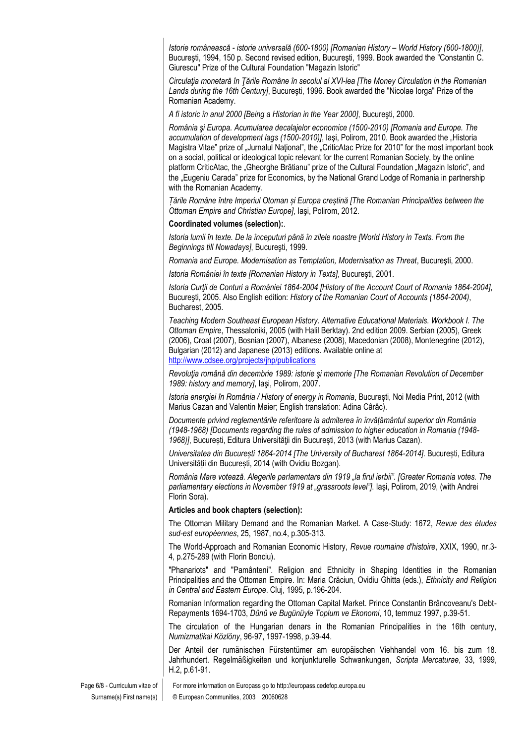*Istorie românească - istorie universală (600-1800) [Romanian History – World History (600-1800)]*, Bucureşti, 1994, 150 p. Second revised edition, Bucureşti, 1999. Book awarded the "Constantin C. Giurescu" Prize of the Cultural Foundation "Magazin Istoric"

*Circulaţia monetară în Ţările Române în secolul al XVI-lea [The Money Circulation in the Romanian Lands during the 16th Century]*, Bucureşti, 1996. Book awarded the "Nicolae Iorga" Prize of the Romanian Academy.

*A fi istoric în anul 2000 [Being a Historian in the Year 2000]*, Bucureşti, 2000.

*România şi Europa. Acumularea decalajelor economice (1500-2010) [Romania and Europe. The*  accumulation of development lags (1500-2010)], laşi, Polirom, 2010. Book awarded the "Historia Magistra Vitae" prize of "Jurnalul National", the "CriticAtac Prize for 2010" for the most important book on a social, political or ideological topic relevant for the current Romanian Society, by the online platform CriticAtac, the "Gheorghe Brătianu" prize of the Cultural Foundation "Magazin Istoric", and the "Eugeniu Carada" prize for Economics, by the National Grand Lodge of Romania in partnership with the Romanian Academy.

*Țările Române între Imperiul Otoman și Europa creștină [The Romanian Principalities between the Ottoman Empire and Christian Europe]*, Iaşi, Polirom, 2012.

#### **Coordinated volumes (selection):**.

*Istoria lumii în texte. De la începuturi până în zilele noastre [World History in Texts. From the Beginnings till Nowadays]*, Bucureşti, 1999.

*Romania and Europe. Modernisation as Temptation, Modernisation as Threat*, Bucureşti, 2000.

*Istoria României în texte [Romanian History in Texts]*, Bucureşti, 2001.

*Istoria Curţii de Conturi a României 1864-2004 [History of the Account Court of Romania 1864-2004]*, Bucureşti, 2005. Also English edition: *History of the Romanian Court of Accounts (1864-2004)*, Bucharest, 2005.

*Teaching Modern Southeast European History. Alternative Educational Materials. Workbook I. The Ottoman Empire*, Thessaloniki, 2005 (with Halil Berktay). 2nd edition 2009. Serbian (2005), Greek (2006), Croat (2007), Bosnian (2007), Albanese (2008), Macedonian (2008), Montenegrine (2012), Bulgarian (2012) and Japanese (2013) editions. Available online at <http://www.cdsee.org/projects/jhp/publications>

*Revoluţia română din decembrie 1989: istorie şi memorie [The Romanian Revolution of December 1989: history and memory]*, Iaşi, Polirom, 2007.

*Istoria energiei în România / History of energy in Romania*, București, Noi Media Print, 2012 (with Marius Cazan and Valentin Maier; English translation: Adina Cârâc).

*Documente privind reglementările referitoare la admiterea în învățământul superior din România (1948-1968) [Documents regarding the rules of admission to higher education in Romania (1948- 1968)]*, București, Editura Universităţii din București, 2013 (with Marius Cazan).

*Universitatea din București 1864-2014 [The University of Bucharest 1864-2014]*. București, Editura Universității din București, 2014 (with Ovidiu Bozgan).

*România Mare votează. Alegerile parlamentare din 1919 "la firul ierbii". [Greater Romania votes. The parliamentary elections in November 1919 at "grassroots level"]*. Iaşi, Polirom, 2019, (with Andrei Florin Sora).

#### **Articles and book chapters (selection):**

The Ottoman Military Demand and the Romanian Market. A Case-Study: 1672, *Revue des études sud-est européennes*, 25, 1987, no.4, p.305-313.

The World-Approach and Romanian Economic History, *Revue roumaine d'histoire*, XXIX, 1990, nr.3- 4, p.275-289 (with Florin Bonciu).

"Phanariots" and "Pamânteni". Religion and Ethnicity in Shaping Identities in the Romanian Principalities and the Ottoman Empire. In: Maria Crăciun, Ovidiu Ghitta (eds.), *Ethnicity and Religion in Central and Eastern Europe*. Cluj, 1995, p.196-204.

Romanian Information regarding the Ottoman Capital Market. Prince Constantin Brâncoveanu's Debt-Repayments 1694-1703, *Dünü ve Bugünüyle Toplum ve Ekonomi*, 10, temmuz 1997, p.39-51.

The circulation of the Hungarian denars in the Romanian Principalities in the 16th century, *Numizmatikai Közlöny*, 96-97, 1997-1998, p.39-44.

Der Anteil der rumänischen Fürstentümer am europäischen Viehhandel vom 16. bis zum 18. Jahrhundert. Regelmäßigkeiten und konjunkturelle Schwankungen, *Scripta Mercaturae*, 33, 1999, H.2, p.61-91.

Page 6/8 - Curriculum vitae of Surname(s) First name(s) For more information on Europass go to http://europass.cedefop.europa.eu © European Communities, 2003 20060628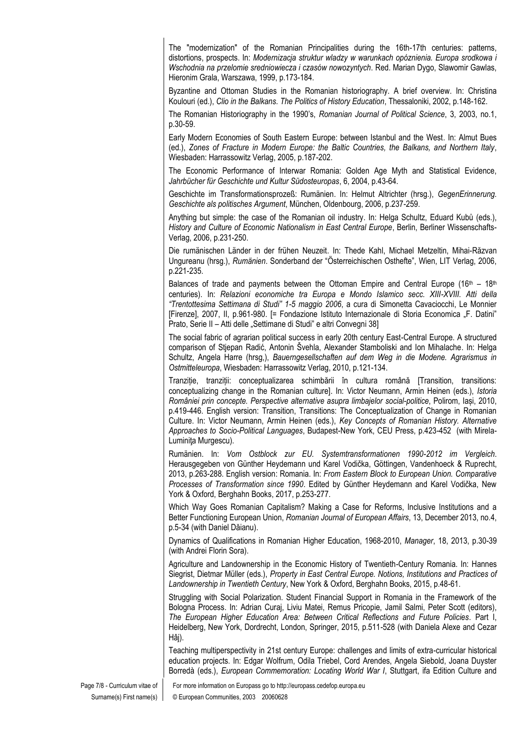The "modernization" of the Romanian Principalities during the 16th-17th centuries: patterns, distortions, prospects. In: *Modernizacja struktur wladzy w warunkach opóznienia. Europa srodkowa i Wschodnia na przelomie sredniowiecza i czasów nowozyntych*. Red. Marian Dygo, Slawomir Gawlas, Hieronim Grala, Warszawa, 1999, p.173-184.

Byzantine and Ottoman Studies in the Romanian historiography. A brief overview. In: Christina Koulouri (ed.), *Clio in the Balkans. The Politics of History Education*, Thessaloniki, 2002, p.148-162.

The Romanian Historiography in the 1990's, *Romanian Journal of Political Science*, 3, 2003, no.1, p.30-59.

Early Modern Economies of South Eastern Europe: between Istanbul and the West. In: Almut Bues (ed.), *Zones of Fracture in Modern Europe: the Baltic Countries, the Balkans, and Northern Italy*, Wiesbaden: Harrassowitz Verlag, 2005, p.187-202.

The Economic Performance of Interwar Romania: Golden Age Myth and Statistical Evidence, *Jahrbücher für Geschichte und Kultur Südosteuropas*, 6, 2004, p.43-64.

Geschichte im Transformationsprozeß: Rumänien. In: Helmut Altrichter (hrsg.), *GegenErinnerung. Geschichte als politisches Argument*, München, Oldenbourg, 2006, p.237-259.

Anything but simple: the case of the Romanian oil industry. In: Helga Schultz, Eduard Kubů (eds.), *History and Culture of Economic Nationalism in East Central Europe*, Berlin, Berliner Wissenschafts-Verlag, 2006, p.231-250.

Die rumänischen Länder in der frühen Neuzeit. In: Thede Kahl, Michael Metzeltin, Mihai-Răzvan Ungureanu (hrsg.), *Rumänien*. Sonderband der "Österreichischen Osthefte", Wien, LIT Verlag, 2006, p.221-235.

Balances of trade and payments between the Ottoman Empire and Central Europe (16th - 18th centuries). In: *Relazioni economiche tra Europa e Mondo Islamico secc. XIII-XVIII. Atti della "Trentottesima Settimana di Studi" 1-5 maggio 2006*, a cura di Simonetta Cavaciocchi, Le Monnier [Firenze], 2007, II, p.961-980. [= Fondazione Istituto Internazionale di Storia Economica "F. Datini" Prato, Serie II – Atti delle "Settimane di Studi" e altri Convegni 38]

The social fabric of agrarian political success in early 20th century East-Central Europe. A structured comparison of Stjepan Radić, Antonin Švehla, Alexander Stamboliski and Ion Mihalache. In: Helga Schultz, Angela Harre (hrsg,), *Bauerngesellschaften auf dem Weg in die Modene. Agrarismus in Ostmitteleuropa*, Wiesbaden: Harrassowitz Verlag, 2010, p.121-134.

Tranziție, tranziții: conceptualizarea schimbării în cultura română [Transition, transitions: conceptualizing change in the Romanian culture]. In: Victor Neumann, Armin Heinen (eds.), *Istoria României prin concepte. Perspective alternative asupra limbajelor social-politice*, Polirom, Iași, 2010, p.419-446. English version: Transition, Transitions: The Conceptualization of Change in Romanian Culture. In: Victor Neumann, Armin Heinen (eds.), *Key Concepts of Romanian History. Alternative Approaches to Socio-Political Languages*, Budapest-New York, CEU Press, p.423-452 (with Mirela-Luminiţa Murgescu).

Rumänien. In: *Vom Ostblock zur EU. Systemtransformationen 1990-2012 im Vergleich*. Herausgegeben von Günther Heydemann und Karel Vodička, Göttingen, Vandenhoeck & Ruprecht, 2013, p.263-288. English version: Romania. In: *From Eastern Block to European Union. Comparative Processes of Transformation since 1990*. Edited by Günther Heydemann and Karel Vodička, New York & Oxford, Berghahn Books, 2017, p.253-277.

Which Way Goes Romanian Capitalism? Making a Case for Reforms, Inclusive Institutions and a Better Functioning European Union, *Romanian Journal of European Affairs*, 13, December 2013, no.4, p.5-34 (with Daniel Dăianu).

Dynamics of Qualifications in Romanian Higher Education, 1968-2010, *Manager*, 18, 2013, p.30-39 (with Andrei Florin Sora).

Agriculture and Landownership in the Economic History of Twentieth-Century Romania. In: Hannes Siegrist, Dietmar Müller (eds.), *Property in East Central Europe. Notions, Institutions and Practices of Landownership in Twentieth Century*, New York & Oxford, Berghahn Books, 2015, p.48-61.

Struggling with Social Polarization. Student Financial Support in Romania in the Framework of the Bologna Process. In: Adrian Curaj, Liviu Matei, Remus Pricopie, Jamil Salmi, Peter Scott (editors), *The European Higher Education Area: Between Critical Reflections and Future Policies*. Part I, Heidelberg, New York, Dordrecht, London, Springer, 2015, p.511-528 (with Daniela Alexe and Cezar Hâj).

Teaching multiperspectivity in 21st century Europe: challenges and limits of extra-curricular historical education projects. In: Edgar Wolfrum, Odila Triebel, Cord Arendes, Angela Siebold, Joana Duyster Borredà (eds.), *European Commemoration: Locating World War I*, Stuttgart, ifa Edition Culture and

For more information on Europass go to http://europass.cedefop.europa.eu © European Communities, 2003 20060628